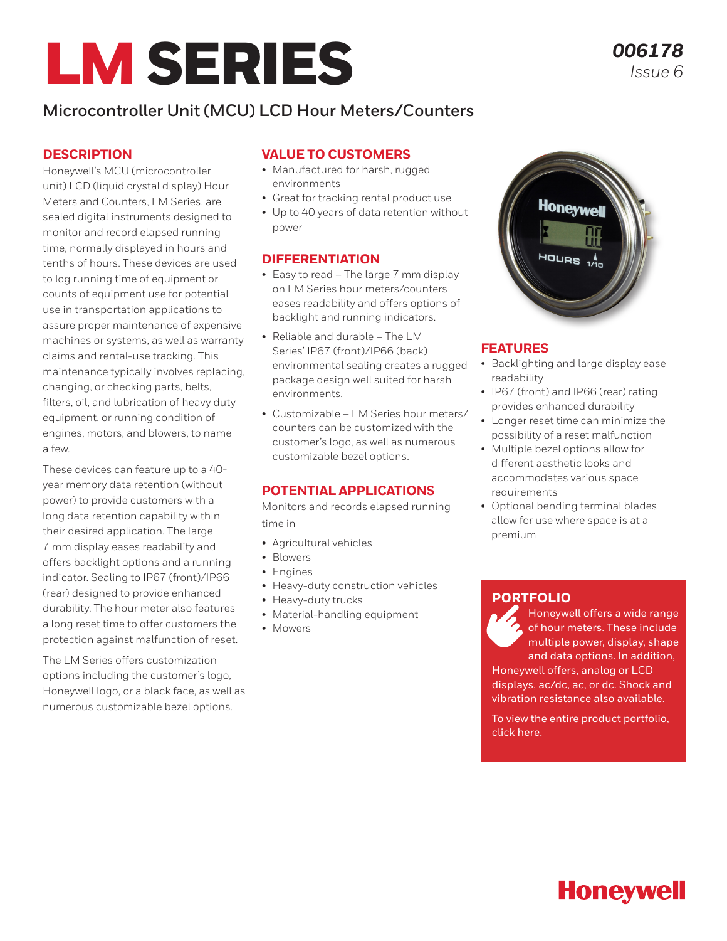# LM SERIES

## **Microcontroller Unit (MCU) LCD Hour Meters/Counters**

### **DESCRIPTION**

Honeywell's MCU (microcontroller unit) LCD (liquid crystal display) Hour Meters and Counters, LM Series, are sealed digital instruments designed to monitor and record elapsed running time, normally displayed in hours and tenths of hours. These devices are used to log running time of equipment or counts of equipment use for potential use in transportation applications to assure proper maintenance of expensive machines or systems, as well as warranty claims and rental-use tracking. This maintenance typically involves replacing, changing, or checking parts, belts, filters, oil, and lubrication of heavy duty equipment, or running condition of engines, motors, and blowers, to name a few.

These devices can feature up to a 40 year memory data retention (without power) to provide customers with a long data retention capability within their desired application. The large 7 mm display eases readability and offers backlight options and a running indicator. Sealing to IP67 (front)/IP66 (rear) designed to provide enhanced durability. The hour meter also features a long reset time to offer customers the protection against malfunction of reset.

The LM Series offers customization options including the customer's logo, Honeywell logo, or a black face, as well as numerous customizable bezel options.

#### **VALUE TO CUSTOMERS**

- Manufactured for harsh, rugged environments
- Great for tracking rental product use
- Up to 40 years of data retention without power

#### **DIFFERENTIATION**

- Easy to read The large 7 mm display on LM Series hour meters/counters eases readability and offers options of backlight and running indicators.
- Reliable and durable The LM Series' IP67 (front)/IP66 (back) environmental sealing creates a rugged package design well suited for harsh environments.
- Customizable LM Series hour meters/ counters can be customized with the customer's logo, as well as numerous customizable bezel options.

## **POTENTIAL APPLICATIONS**

Monitors and records elapsed running time in

- Agricultural vehicles
- Blowers
- Engines
- Heavy-duty construction vehicles
- Heavy-duty trucks
- Material-handling equipment
- Mowers



## **FEATURES**

- Backlighting and large display ease readability
- IP67 (front) and IP66 (rear) rating provides enhanced durability
- Longer reset time can minimize the possibility of a reset malfunction
- Multiple bezel options allow for different aesthetic looks and accommodates various space requirements
- Optional bending terminal blades allow for use where space is at a premium

## **[PORTFOLIO](https://sps.honeywell.com/us/en/products/sensing-and-iot/switches-and-controls/controls-and-indicators/hour-meters)**

Honeywell offers a wide range of hour meters. These include multiple power, display, shape and data options. In addition, Honeywell offers, analog or LCD displays, ac/dc, ac, or dc. Shock and vibration resistance also available.

To view the entire product portfolio, click [here.](https://sps.honeywell.com/us/en/products/sensing-and-iot/switches-and-controls/controls-and-indicators/hour-meters)

# **Honeywell**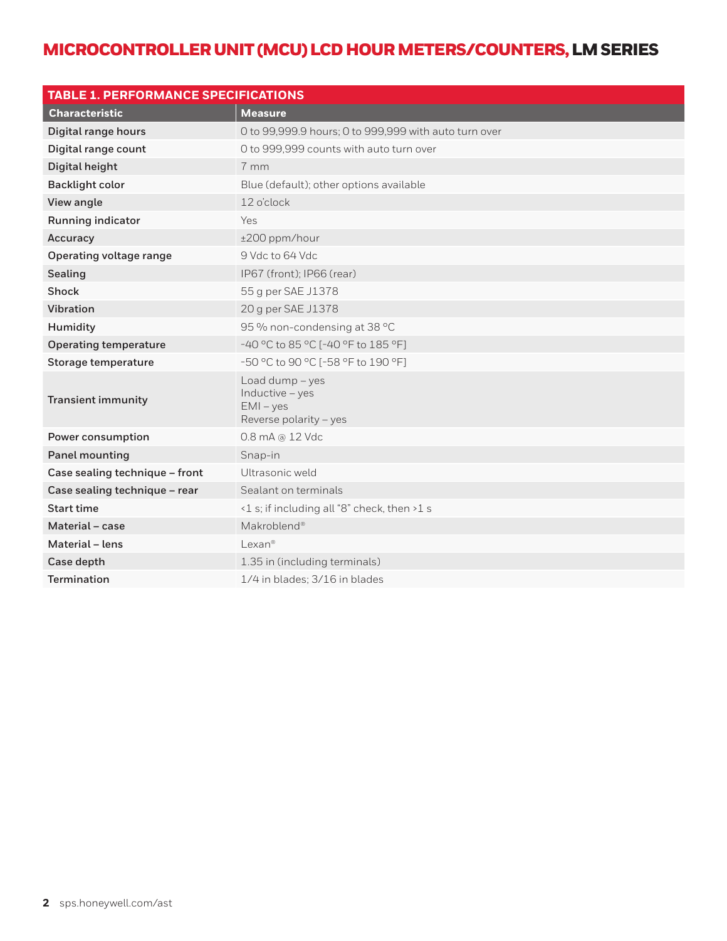| <b>TABLE 1. PERFORMANCE SPECIFICATIONS</b> |                                                                             |  |  |  |
|--------------------------------------------|-----------------------------------------------------------------------------|--|--|--|
| <b>Characteristic</b>                      | <b>Measure</b>                                                              |  |  |  |
| Digital range hours                        | O to 99,999.9 hours; O to 999,999 with auto turn over                       |  |  |  |
| Digital range count                        | O to 999,999 counts with auto turn over                                     |  |  |  |
| Digital height                             | 7 mm                                                                        |  |  |  |
| <b>Backlight color</b>                     | Blue (default); other options available                                     |  |  |  |
| View angle                                 | 12 o'clock                                                                  |  |  |  |
| Running indicator                          | Yes                                                                         |  |  |  |
| Accuracy                                   | ±200 ppm/hour                                                               |  |  |  |
| Operating voltage range                    | 9 Vdc to 64 Vdc                                                             |  |  |  |
| Sealing                                    | IP67 (front); IP66 (rear)                                                   |  |  |  |
| Shock                                      | 55 g per SAE J1378                                                          |  |  |  |
| <b>Vibration</b>                           | 20 g per SAE J1378                                                          |  |  |  |
| Humidity                                   | 95 % non-condensing at 38 °C                                                |  |  |  |
| <b>Operating temperature</b>               | -40 °C to 85 °C [-40 °F to 185 °F]                                          |  |  |  |
| Storage temperature                        | -50 °C to 90 °C [-58 °F to 190 °F]                                          |  |  |  |
| <b>Transient immunity</b>                  | Load dump - yes<br>Inductive - yes<br>$EMI - yes$<br>Reverse polarity - yes |  |  |  |
| Power consumption                          | 0.8 mA @ 12 Vdc                                                             |  |  |  |
| <b>Panel mounting</b>                      | Snap-in                                                                     |  |  |  |
| Case sealing technique - front             | Ultrasonic weld                                                             |  |  |  |
| Case sealing technique - rear              | Sealant on terminals                                                        |  |  |  |
| <b>Start time</b>                          | <1 s; if including all "8" check, then >1 s                                 |  |  |  |
| Material - case                            | Makroblend <sup>®</sup>                                                     |  |  |  |
| Material - lens                            | Lexan <sup>®</sup>                                                          |  |  |  |
| Case depth                                 | 1.35 in (including terminals)                                               |  |  |  |
| <b>Termination</b>                         | 1/4 in blades; 3/16 in blades                                               |  |  |  |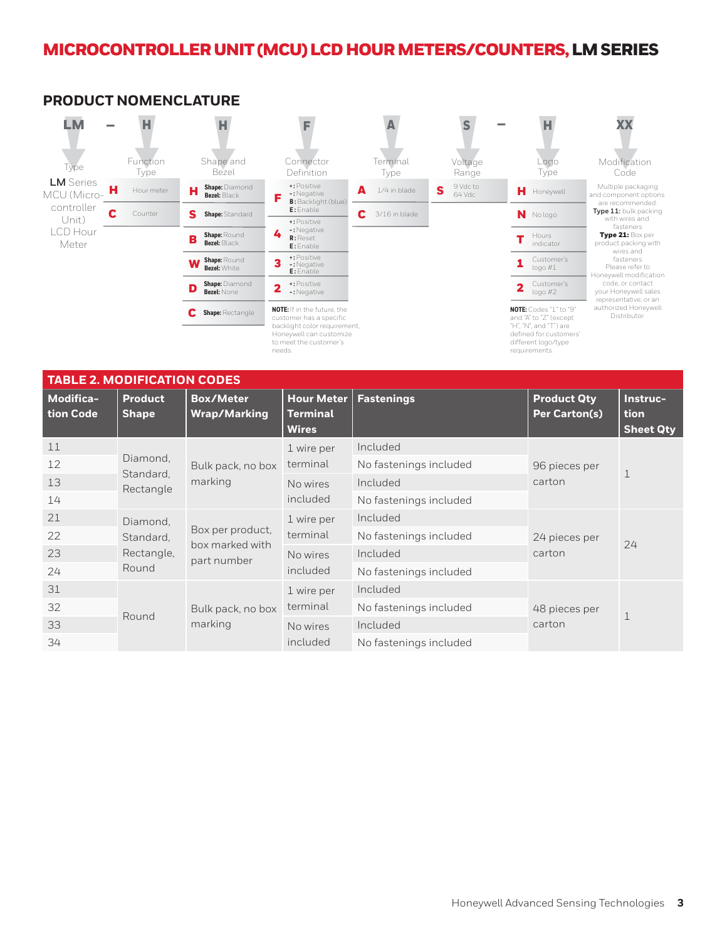

## **PRODUCT NOMENCLATURE**

| <b>TABLE 2. MODIFICATION CODES</b> |                                    |                                                    |                                               |                        |                                            |                                      |
|------------------------------------|------------------------------------|----------------------------------------------------|-----------------------------------------------|------------------------|--------------------------------------------|--------------------------------------|
| <b>Modifica-</b><br>tion Code      | <b>Product</b><br><b>Shape</b>     | <b>Box/Meter</b><br><b>Wrap/Marking</b>            | <b>Hour Meter</b><br>Terminal<br><b>Wires</b> | <b>Fastenings</b>      | <b>Product Qty</b><br><b>Per Carton(s)</b> | Instruc-<br>tion<br><b>Sheet Qty</b> |
| 11                                 |                                    | Bulk pack, no box<br>marking                       | 1 wire per<br>terminal                        | Included               |                                            |                                      |
| 12                                 | Diamond,<br>Standard,<br>Rectangle |                                                    |                                               | No fastenings included | 96 pieces per                              |                                      |
| 13                                 |                                    |                                                    | No wires<br>included                          | Included               | carton                                     |                                      |
| 14                                 |                                    |                                                    |                                               | No fastenings included |                                            |                                      |
| 21                                 | Diamond,                           | Box per product,<br>box marked with<br>part number | 1 wire per                                    | Included               | 24 pieces per                              | 24                                   |
| 22                                 | Standard,                          |                                                    | terminal                                      | No fastenings included |                                            |                                      |
| 23                                 | Rectangle,                         |                                                    | No wires<br>included                          | Included               | carton                                     |                                      |
| 24                                 | Round                              |                                                    |                                               | No fastenings included |                                            |                                      |
| 31                                 |                                    |                                                    | 1 wire per                                    | Included               |                                            | $\mathbf 1$                          |
| 32                                 | Round                              | Bulk pack, no box<br>marking                       | terminal                                      | No fastenings included | 48 pieces per                              |                                      |
| 33                                 |                                    |                                                    | No wires<br>included                          | Included               | carton                                     |                                      |
| 34                                 |                                    |                                                    |                                               | No fastenings included |                                            |                                      |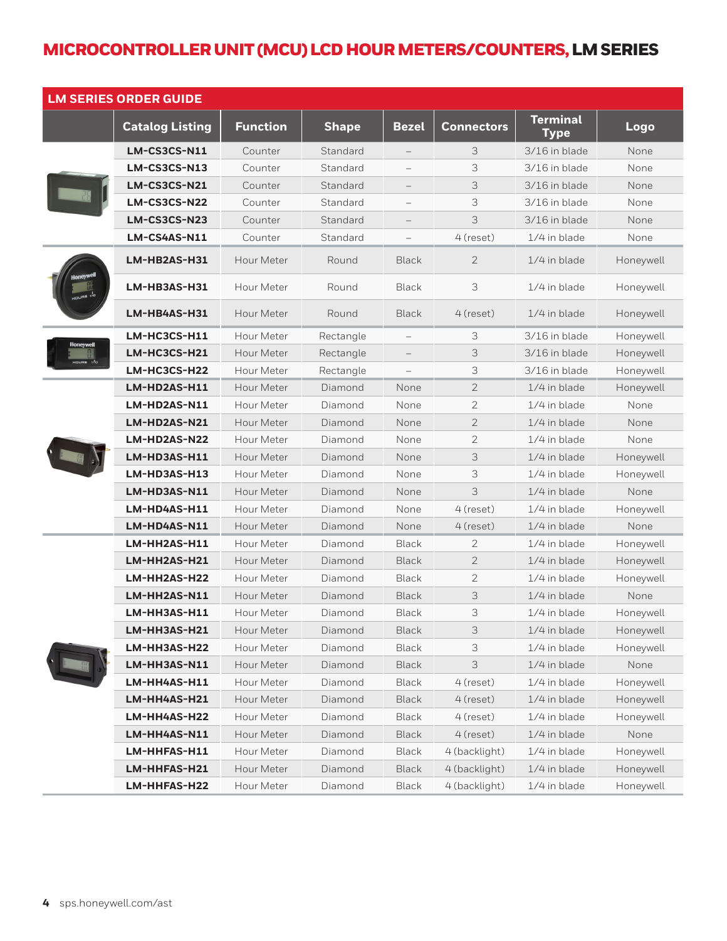| <b>LM SERIES ORDER GUIDE</b> |                        |                 |              |                          |                   |                                |           |
|------------------------------|------------------------|-----------------|--------------|--------------------------|-------------------|--------------------------------|-----------|
|                              | <b>Catalog Listing</b> | <b>Function</b> | <b>Shape</b> | <b>Bezel</b>             | <b>Connectors</b> | <b>Terminal</b><br><b>Type</b> | Logo      |
|                              | LM-CS3CS-N11           | Counter         | Standard     | $\qquad \qquad -$        | 3                 | 3/16 in blade                  | None      |
|                              | LM-CS3CS-N13           | Counter         | Standard     |                          | 3                 | 3/16 in blade                  | None      |
|                              | LM-CS3CS-N21           | Counter         | Standard     | $\qquad \qquad -$        | 3                 | 3/16 in blade                  | None      |
|                              | LM-CS3CS-N22           | Counter         | Standard     | $\overline{\phantom{0}}$ | 3                 | 3/16 in blade                  | None      |
|                              | LM-CS3CS-N23           | Counter         | Standard     |                          | $\Im$             | 3/16 in blade                  | None      |
|                              | LM-CS4AS-N11           | Counter         | Standard     | $\overline{\phantom{0}}$ | 4 (reset)         | 1/4 in blade                   | None      |
|                              | LM-HB2AS-H31           | Hour Meter      | Round        | <b>Black</b>             | $\overline{2}$    | 1/4 in blade                   | Honeywell |
|                              | LM-HB3AS-H31           | Hour Meter      | Round        | <b>Black</b>             | 3                 | 1/4 in blade                   | Honeywell |
|                              | LM-HB4AS-H31           | Hour Meter      | Round        | <b>Black</b>             | 4 (reset)         | $1/4$ in blade                 | Honeywell |
| Honeywell                    | LM-HC3CS-H11           | Hour Meter      | Rectangle    | $\qquad \qquad -$        | 3                 | 3/16 in blade                  | Honeywell |
| $\nu$ es $\Lambda$           | LM-HC3CS-H21           | Hour Meter      | Rectangle    |                          | 3                 | 3/16 in blade                  | Honeywell |
|                              | LM-HC3CS-H22           | Hour Meter      | Rectangle    |                          | 3                 | 3/16 in blade                  | Honeywell |
|                              | LM-HD2AS-H11           | Hour Meter      | Diamond      | None                     | $\mathbf{2}$      | 1/4 in blade                   | Honeywell |
|                              | LM-HD2AS-N11           | Hour Meter      | Diamond      | None                     | $\overline{2}$    | $1/4$ in blade                 | None      |
|                              | LM-HD2AS-N21           | Hour Meter      | Diamond      | None                     | $\overline{2}$    | 1/4 in blade                   | None      |
|                              | LM-HD2AS-N22           | Hour Meter      | Diamond      | None                     | $\overline{2}$    | $1/4$ in blade                 | None      |
|                              | LM-HD3AS-H11           | Hour Meter      | Diamond      | None                     | 3                 | 1/4 in blade                   | Honeywell |
|                              | LM-HD3AS-H13           | Hour Meter      | Diamond      | None                     | 3                 | $1/4$ in blade                 | Honeywell |
|                              | LM-HD3AS-N11           | Hour Meter      | Diamond      | None                     | 3                 | 1/4 in blade                   | None      |
|                              | LM-HD4AS-H11           | Hour Meter      | Diamond      | None                     | 4 (reset)         | 1/4 in blade                   | Honeywell |
|                              | LM-HD4AS-N11           | Hour Meter      | Diamond      | None                     | 4 (reset)         | 1/4 in blade                   | None      |
|                              | LM-HH2AS-H11           | Hour Meter      | Diamond      | <b>Black</b>             | 2                 | 1/4 in blade                   | Honeywell |
|                              | LM-HH2AS-H21           | Hour Meter      | Diamond      | <b>Black</b>             | $\overline{2}$    | $1/4$ in blade                 | Honeywell |
|                              | LM-HH2AS-H22           | Hour Meter      | Diamond      | Black                    | 2                 | 1/4 in blade                   | Honeywell |
|                              | LM-HH2AS-N11           | Hour Meter      | Diamond      | <b>Black</b>             | 3                 | 1/4 in blade                   | None      |
|                              | LM-HH3AS-H11           | Hour Meter      | Diamond      | Black                    | 3                 | 1/4 in blade                   | Honeywell |
|                              | LM-HH3AS-H21           | Hour Meter      | Diamond      | <b>Black</b>             | 3                 | 1/4 in blade                   | Honeywell |
|                              | LM-HH3AS-H22           | Hour Meter      | Diamond      | <b>Black</b>             | 3                 | 1/4 in blade                   | Honeywell |
|                              | LM-HH3AS-N11           | Hour Meter      | Diamond      | <b>Black</b>             | 3                 | 1/4 in blade                   | None      |
|                              | LM-HH4AS-H11           | Hour Meter      | Diamond      | <b>Black</b>             | 4 (reset)         | 1/4 in blade                   | Honeywell |
|                              | LM-HH4AS-H21           | Hour Meter      | Diamond      | <b>Black</b>             | 4 (reset)         | 1/4 in blade                   | Honeywell |
|                              | LM-HH4AS-H22           | Hour Meter      | Diamond      | Black                    | 4 (reset)         | 1/4 in blade                   | Honeywell |
|                              | LM-HH4AS-N11           | Hour Meter      | Diamond      | <b>Black</b>             | 4 (reset)         | 1/4 in blade                   | None      |
|                              | LM-HHFAS-H11           | Hour Meter      | Diamond      | <b>Black</b>             | 4 (backlight)     | 1/4 in blade                   | Honeywell |
|                              | LM-HHFAS-H21           | Hour Meter      | Diamond      | <b>Black</b>             | 4 (backlight)     | 1/4 in blade                   | Honeywell |
|                              | LM-HHFAS-H22           | Hour Meter      | Diamond      | Black                    | 4 (backlight)     | 1/4 in blade                   | Honeywell |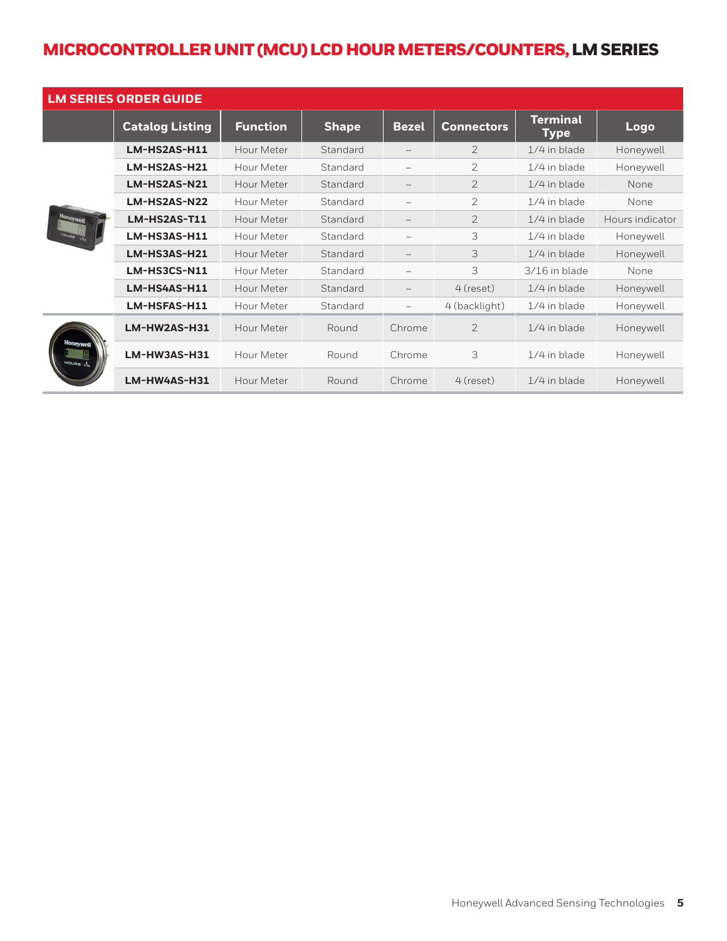| <b>LM SERIES ORDER GUIDE</b> |                        |                 |              |                          |                   |                                |                 |
|------------------------------|------------------------|-----------------|--------------|--------------------------|-------------------|--------------------------------|-----------------|
|                              | <b>Catalog Listing</b> | <b>Function</b> | <b>Shape</b> | <b>Bezel</b>             | <b>Connectors</b> | <b>Terminal</b><br><b>Type</b> | Logo            |
| <b>Honeywell</b>             | LM-HS2AS-H11           | Hour Meter      | Standard     |                          | $\overline{2}$    | 1/4 in blade                   | Honeywell       |
|                              | LM-HS2AS-H21           | Hour Meter      | Standard     |                          | 2                 | $1/4$ in blade                 | Honeywell       |
|                              | LM-HS2AS-N21           | Hour Meter      | Standard     | $\overline{\phantom{m}}$ | $\overline{2}$    | 1/4 in blade                   | None            |
|                              | LM-HS2AS-N22           | Hour Meter      | Standard     | $\overline{\phantom{0}}$ | $\overline{2}$    | 1/4 in blade                   | None            |
|                              | LM-HS2AS-T11           | Hour Meter      | Standard     | $\qquad \qquad -$        | $\overline{2}$    | $1/4$ in blade                 | Hours indicator |
|                              | LM-HS3AS-H11           | Hour Meter      | Standard     |                          | 3                 | 1/4 in blade                   | Honeywell       |
|                              | LM-HS3AS-H21           | Hour Meter      | Standard     |                          | 3                 | $1/4$ in blade                 | Honeywell       |
|                              | LM-HS3CS-N11           | Hour Meter      | Standard     |                          | 3                 | 3/16 in blade                  | None            |
|                              | LM-HS4AS-H11           | Hour Meter      | Standard     |                          | 4 (reset)         | $1/4$ in blade                 | Honeywell       |
|                              | LM-HSFAS-H11           | Hour Meter      | Standard     |                          | 4 (backlight)     | $1/4$ in blade                 | Honeywell       |
| <b>doneywet</b><br>HOURS IN  | LM-HW2AS-H31           | Hour Meter      | Round        | Chrome                   | $\mathfrak{D}$    | $1/4$ in blade                 | Honeywell       |
|                              | LM-HW3AS-H31           | Hour Meter      | Round        | Chrome                   | 3                 | 1/4 in blade                   | Honeywell       |
|                              | LM-HW4AS-H31           | Hour Meter      | Round        | Chrome                   | 4 (reset)         | $1/4$ in blade                 | Honeywell       |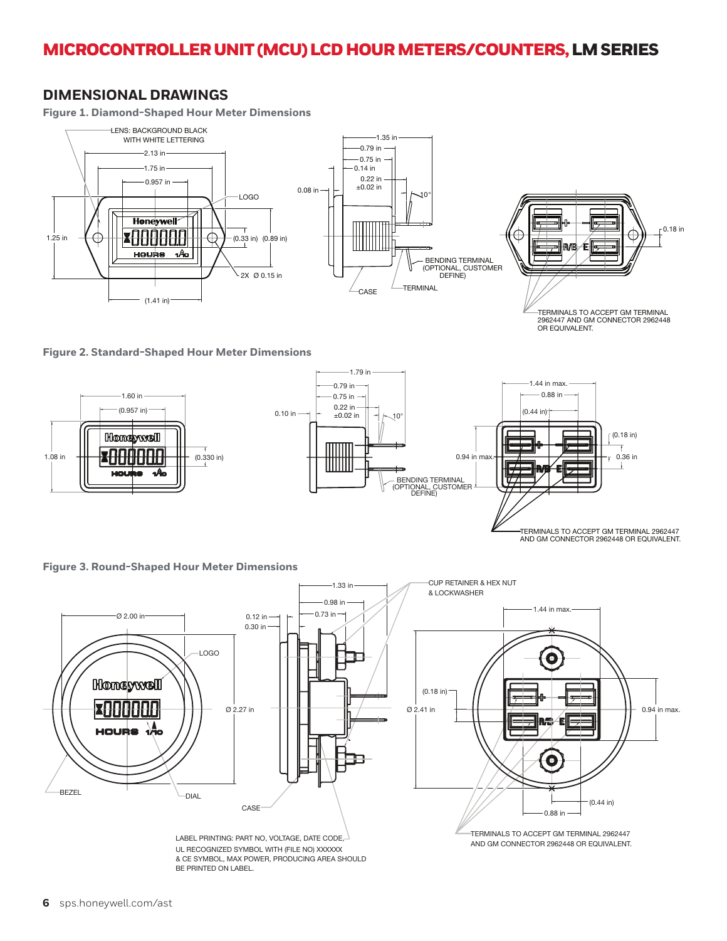## **DIMENSIONAL DRAWINGS**

**Figure 1. Diamond-Shaped Hour Meter Dimensions**



TERMINALS TO ACCEPT GM TERMINAL 2962447 AND GM CONNECTOR 2962448 OR FOUIVALENT.

**Figure 2. Standard-Shaped Hour Meter Dimensions**



TERMINALS TO ACCEPT GM TERMINAL 2962447 AND GM CONNECTOR 2962448 OR EQUIVALENT.

**Figure 3. Round-Shaped Hour Meter Dimensions**



UL RECOGNIZED SYMBOL WITH (FILE NO) XXXXXX & CE SYMBOL, MAX POWER, PRODUCING AREA SHOULD BE PRINTED ON LABEL.

AND GM CONNECTOR 2962448 OR EQUIVALENT.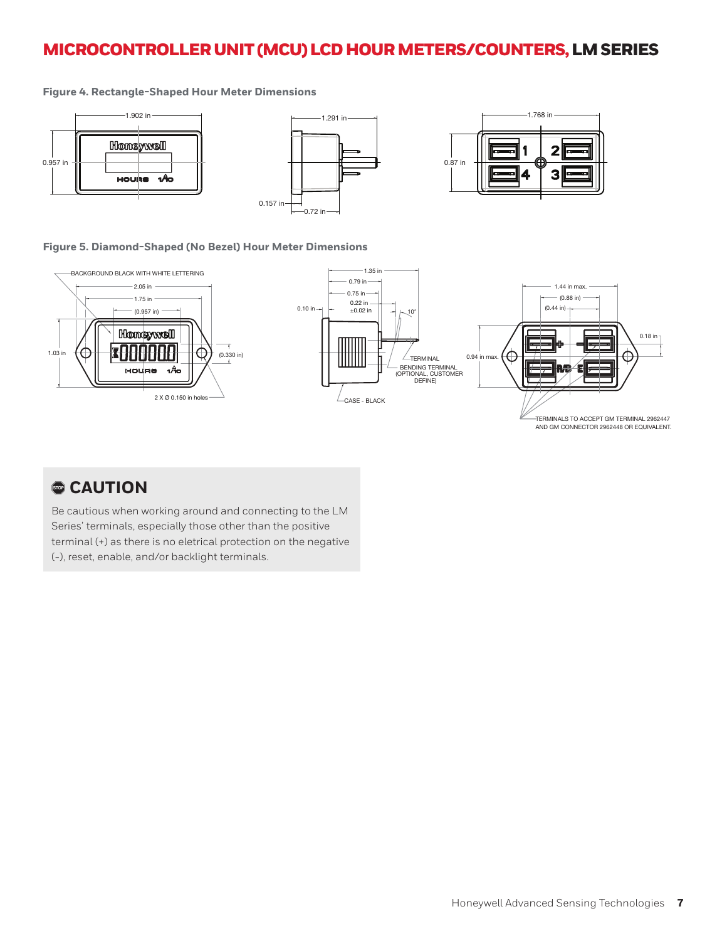#### MICROCONTROLLER UNIT (MCU) LCD HOUR METERS/COUNTERS, LM SERIES ERS/ DC I M CEDIEC

#### **Figure 4. Rectangle-Shaped Hour Meter Dimensions**



## Figure 5. Diamond-Shaped (No Bezel) Hour Meter Dimensions



## , **CAUTION**

Be cautious when working around and connecting to the LM Series' terminals, especially those other than the positive terminal (+) as there is no eletrical protection on the negative (-), reset, enable, and/or backlight terminals.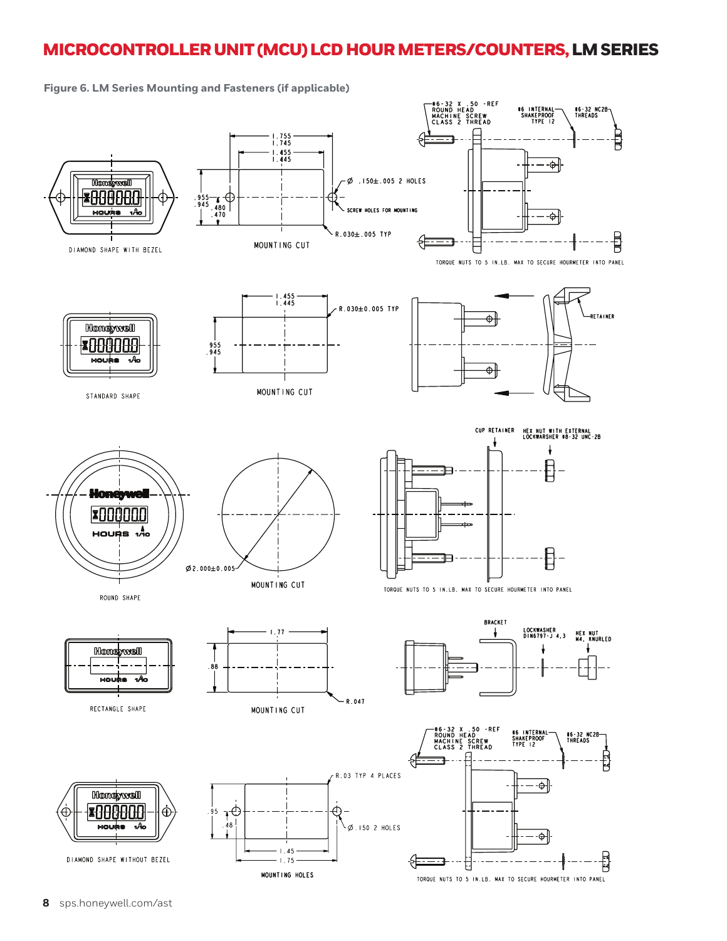**#6-32 NC2B**<br>THREADS

骨

붭

ŧ

TORQUE NUTS TO 5 IN.LB. MAX TO SECURE HOURMETER INTO PANEL

-#6-32 X .50 -REF<br>ROUND HEAD<br>MACHINE SCREW<br>CLASS 2 THREAD **\*6 INTERNAL-<br>SHAKEPROOF**<br>TYPE 12  $1.755$ <br> $1.745$ ⊐  $1.455$ <br> $1.445$ — -⊕[ Konsvvell .ø  $.150\pm.005$  2 HOLES B888888  $\begin{array}{c} 955 - 7 \\ 945 - 480 \\ 470 \end{array}$ ¢ HOLES FOR MOUNTING SCREW HOURS ۹Â -⇔|  $R.030 \pm .005$  TYP 샦 MOUNTING CUT DIAMOND SHAPE WITH BEZEL TORQUE NUTS TO 5 IN.LB. MAX TO SECURE HOURMETER INTO PANEL  $1.455$ <br> $1.445$ R.030±0.005 TYP **RETAINER** Ф **Honeywell \***00008  $\frac{955}{945}$  $\hat{\Phi}$ MOUNTING CUT STANDARD SHAPE CUP RETAINER HEX NUT WITH EXTERNAL<br>LOCKWARSHER #8-32 UNC-2B ł. ł  $\pmb{\mathrm{B}}$ Honerwal **7000000 1** A POURS  $\bm{\mathbb{B}}$  $\emptyset$  2.000±0.005 MOUNTING CUT TORQUE NUTS TO 5 IN.LB. MAX TO SECURE HOURMETER INTO PANEL ROUND SHAPE **BRACKET** LOCKWASHER<br>DIN6797-J 4,3  $1.77$ HEX NUT<br>M4, KNURLED t **Honeywell** ł .88 MOUSS -A R 047 RECTANGLE SHAPE MOUNTING CUT -#6-32 X .50 -REF<br>ROUND HEAD<br>MACHINE SCREW<br>CLASS 2 THREAD **#6 INTERNAL<br>SHAKEPROOF<br>TYPE 12** #6-32 NC2B<br>THREADS R.03 TYP 4 PLACES – -⇔l **Honeywell**  $\psi$ ¥88880£ ⊕ È 95  $.48$ moute vo  $\emptyset$ .150 2 HOLES —-⊕

 $1.45$ 

 $-1.75$ 

MOUNTING HOLES

**Figure 6. LM Series Mounting and Fasteners (if applicable)**